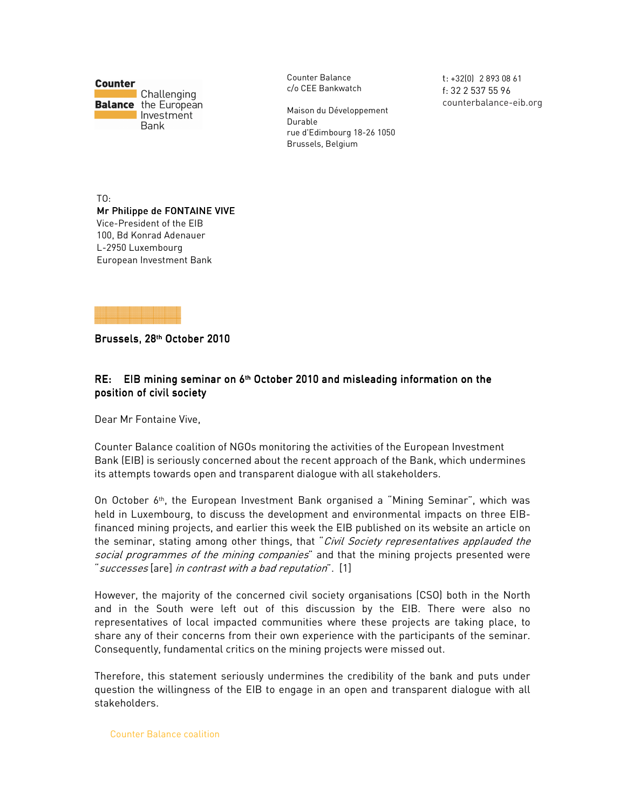**Counter** Challenging **Balance** the European Investment Bank

Counter Balance c/o CEE Bankwatch

Maison du Développement Durable rue d'Edimbourg 18-26 1050 Brussels, Belgium

t: +32(0) 2 893 08 61 f: 32 2 537 55 96 counterbalance-eib.org

TO: Mr Philippe de FONTAINE VIVE Vice-President of the EIB 100, Bd Konrad Adenauer L-2950 Luxembourg European Investment Bank



Brussels, 28<sup>th</sup> October 2010

## RE: EIB mining seminar on 6<sup>th</sup> October 2010 and misleading information on the position of civil society

Dear Mr Fontaine Vive,

Counter Balance coalition of NGOs monitoring the activities of the European Investment Bank (EIB) is seriously concerned about the recent approach of the Bank, which undermines its attempts towards open and transparent dialogue with all stakeholders.

On October 6th, the European Investment Bank organised a "Mining Seminar", which was held in Luxembourg, to discuss the development and environmental impacts on three EIBfinanced mining projects, and earlier this week the EIB published on its website an article on the seminar, stating among other things, that "Civil Society representatives applauded the social programmes of the mining companies" and that the mining projects presented were "successes [are] in contrast with a bad reputation". [1]

However, the majority of the concerned civil society organisations (CSO) both in the North and in the South were left out of this discussion by the EIB. There were also no representatives of local impacted communities where these projects are taking place, to share any of their concerns from their own experience with the participants of the seminar. Consequently, fundamental critics on the mining projects were missed out.

Therefore, this statement seriously undermines the credibility of the bank and puts under question the willingness of the EIB to engage in an open and transparent dialogue with all stakeholders.

Counter Balance coalition